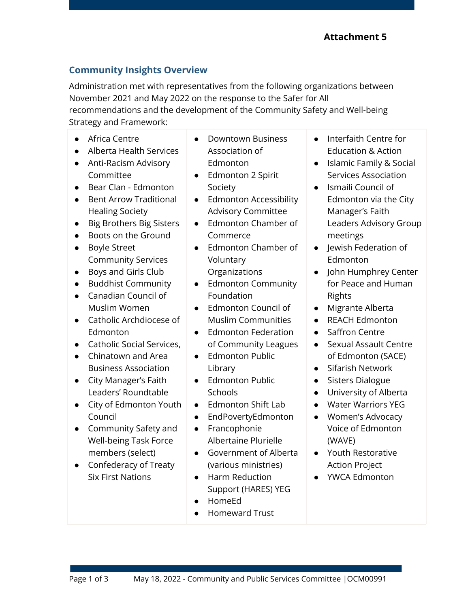## **Community Insights Overview**

Administration met with representatives from the following organizations between November 2021 and May 2022 on the response to the Safer for All recommendations and the development of the Community Safety and Well-being

Strategy and Framework:

- Africa Centre
- Alberta Health Services
- Anti-Racism Advisory Committee
- Bear Clan Edmonton
- Bent Arrow Traditional Healing Society
- Big Brothers Big Sisters
- Boots on the Ground
- Boyle Street Community Services
- Boys and Girls Club
- Buddhist Community
- Canadian Council of Muslim Women
- Catholic Archdiocese of Edmonton
- Catholic Social Services,
- Chinatown and Area Business Association
- City Manager's Faith Leaders' Roundtable
- City of Edmonton Youth Council
- Community Safety and Well-being Task Force members (select)
- Confederacy of Treaty Six First Nations
- Downtown Business Association of Edmonton
- Edmonton 2 Spirit Society
- Edmonton Accessibility Advisory Committee
- Edmonton Chamber of Commerce
- Edmonton Chamber of Voluntary Organizations
- Edmonton Community Foundation
- Edmonton Council of Muslim Communities
- Edmonton Federation of Community Leagues
- Edmonton Public Library
- Edmonton Public **Schools**
- Edmonton Shift Lab
- EndPovertyEdmonton
- Francophonie Albertaine Plurielle
- Government of Alberta (various ministries)
- Harm Reduction Support (HARES) YEG
- HomeEd
- Homeward Trust
- Interfaith Centre for Education & Action
- Islamic Family & Social Services Association
- Ismaili Council of Edmonton via the City Manager's Faith Leaders Advisory Group meetings
- Jewish Federation of Edmonton
- John Humphrey Center for Peace and Human Rights
- Migrante Alberta
- REACH Edmonton
- Saffron Centre
- Sexual Assault Centre of Edmonton (SACE)
- Sifarish Network
- Sisters Dialogue
- University of Alberta
- Water Warriors YEG
- Women's Advocacy Voice of Edmonton (WAVE)
- Youth Restorative Action Project
- YWCA Edmonton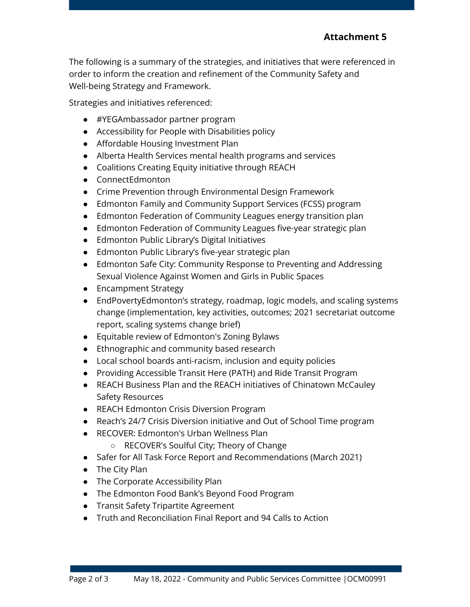The following is a summary of the strategies, and initiatives that were referenced in order to inform the creation and refinement of the Community Safety and Well-being Strategy and Framework.

Strategies and initiatives referenced:

- #YEGAmbassador partner program
- Accessibility for People with Disabilities policy
- Affordable Housing Investment Plan
- Alberta Health Services mental health programs and services
- Coalitions Creating Equity initiative through REACH
- ConnectEdmonton
- Crime Prevention through Environmental Design Framework
- Edmonton Family and Community Support Services (FCSS) program
- Edmonton Federation of Community Leagues energy transition plan
- Edmonton Federation of Community Leagues five-year strategic plan
- Edmonton Public Library's Digital Initiatives
- Edmonton Public Library's five-year strategic plan
- Edmonton Safe City: Community Response to Preventing and Addressing Sexual Violence Against Women and Girls in Public Spaces
- Encampment Strategy
- EndPovertyEdmonton's strategy, roadmap, logic models, and scaling systems change (implementation, key activities, outcomes; 2021 secretariat outcome report, scaling systems change brief)
- Equitable review of Edmonton's Zoning Bylaws
- Ethnographic and community based research
- Local school boards anti-racism, inclusion and equity policies
- Providing Accessible Transit Here (PATH) and Ride Transit Program
- REACH Business Plan and the REACH initiatives of Chinatown McCauley Safety Resources
- REACH Edmonton Crisis Diversion Program
- Reach's 24/7 Crisis Diversion initiative and Out of School Time program
- RECOVER: Edmonton's Urban Wellness Plan
	- RECOVER's Soulful City; Theory of Change
- Safer for All Task Force Report and Recommendations (March 2021)
- The City Plan
- The Corporate Accessibility Plan
- The Edmonton Food Bank's Beyond Food Program
- Transit Safety Tripartite Agreement
- Truth and Reconciliation Final Report and 94 Calls to Action